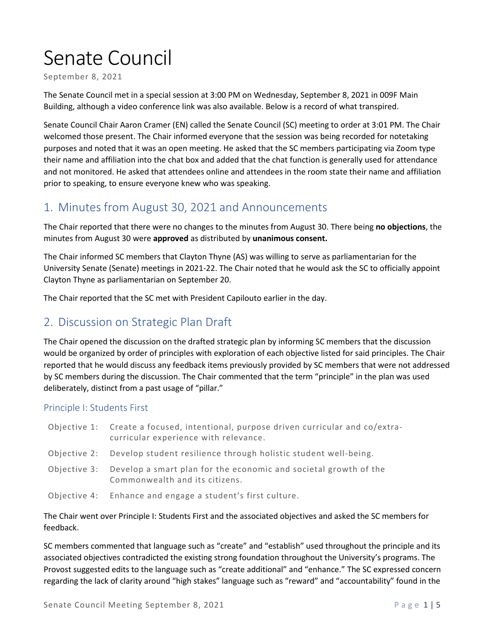# Senate Council

September 8, 2021

The Senate Council met in a special session at 3:00 PM on Wednesday, September 8, 2021 in 009F Main Building, although a video conference link was also available. Below is a record of what transpired.

Senate Council Chair Aaron Cramer (EN) called the Senate Council (SC) meeting to order at 3:01 PM. The Chair welcomed those present. The Chair informed everyone that the session was being recorded for notetaking purposes and noted that it was an open meeting. He asked that the SC members participating via Zoom type their name and affiliation into the chat box and added that the chat function is generally used for attendance and not monitored. He asked that attendees online and attendees in the room state their name and affiliation prior to speaking, to ensure everyone knew who was speaking.

## 1. Minutes from August 30, 2021 and Announcements

The Chair reported that there were no changes to the minutes from August 30. There being **no objections**, the minutes from August 30 were **approved** as distributed by **unanimous consent.** 

The Chair informed SC members that Clayton Thyne (AS) was willing to serve as parliamentarian for the University Senate (Senate) meetings in 2021-22. The Chair noted that he would ask the SC to officially appoint Clayton Thyne as parliamentarian on September 20.

The Chair reported that the SC met with President Capilouto earlier in the day.

### 2. Discussion on Strategic Plan Draft

The Chair opened the discussion on the drafted strategic plan by informing SC members that the discussion would be organized by order of principles with exploration of each objective listed for said principles. The Chair reported that he would discuss any feedback items previously provided by SC members that were not addressed by SC members during the discussion. The Chair commented that the term "principle" in the plan was used deliberately, distinct from a past usage of "pillar."

#### Principle I: Students First

| Objective 1: Create a focused, intentional, purpose driven curricular and co/extra-<br>curricular experience with relevance. |
|------------------------------------------------------------------------------------------------------------------------------|
| Objective 2: Develop student resilience through holistic student well-being.                                                 |
| Objective 3: Develop a smart plan for the economic and societal growth of the<br>Commonwealth and its citizens.              |
| Objective 4: Enhance and engage a student's first culture.                                                                   |

The Chair went over Principle I: Students First and the associated objectives and asked the SC members for feedback.

SC members commented that language such as "create" and "establish" used throughout the principle and its associated objectives contradicted the existing strong foundation throughout the University's programs. The Provost suggested edits to the language such as "create additional" and "enhance." The SC expressed concern regarding the lack of clarity around "high stakes" language such as "reward" and "accountability" found in the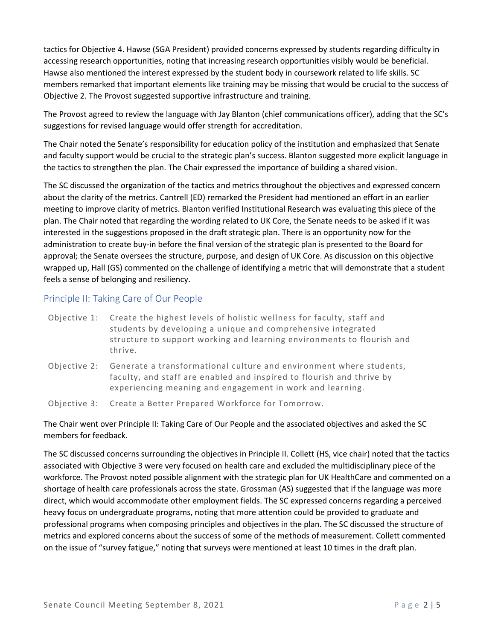tactics for Objective 4. Hawse (SGA President) provided concerns expressed by students regarding difficulty in accessing research opportunities, noting that increasing research opportunities visibly would be beneficial. Hawse also mentioned the interest expressed by the student body in coursework related to life skills. SC members remarked that important elements like training may be missing that would be crucial to the success of Objective 2. The Provost suggested supportive infrastructure and training.

The Provost agreed to review the language with Jay Blanton (chief communications officer), adding that the SC's suggestions for revised language would offer strength for accreditation.

The Chair noted the Senate's responsibility for education policy of the institution and emphasized that Senate and faculty support would be crucial to the strategic plan's success. Blanton suggested more explicit language in the tactics to strengthen the plan. The Chair expressed the importance of building a shared vision.

The SC discussed the organization of the tactics and metrics throughout the objectives and expressed concern about the clarity of the metrics. Cantrell (ED) remarked the President had mentioned an effort in an earlier meeting to improve clarity of metrics. Blanton verified Institutional Research was evaluating this piece of the plan. The Chair noted that regarding the wording related to UK Core, the Senate needs to be asked if it was interested in the suggestions proposed in the draft strategic plan. There is an opportunity now for the administration to create buy-in before the final version of the strategic plan is presented to the Board for approval; the Senate oversees the structure, purpose, and design of UK Core. As discussion on this objective wrapped up, Hall (GS) commented on the challenge of identifying a metric that will demonstrate that a student feels a sense of belonging and resiliency.

#### Principle II: Taking Care of Our People

- Objective 1: Create the highest levels of holistic wellness for faculty, staff and students by developing a unique and comprehensive integrated structure to support working and learning environments to flourish and thrive.
- Objective 2: Generate a transformational culture and environment where students, faculty, and staff are enabled and inspired to flourish and thrive by experiencing meaning and engagement in work and learning.
- Objective 3: Create a Better Prepared Workforce for Tomorrow.

The Chair went over Principle II: Taking Care of Our People and the associated objectives and asked the SC members for feedback.

The SC discussed concerns surrounding the objectives in Principle II. Collett (HS, vice chair) noted that the tactics associated with Objective 3 were very focused on health care and excluded the multidisciplinary piece of the workforce. The Provost noted possible alignment with the strategic plan for UK HealthCare and commented on a shortage of health care professionals across the state. Grossman (AS) suggested that if the language was more direct, which would accommodate other employment fields. The SC expressed concerns regarding a perceived heavy focus on undergraduate programs, noting that more attention could be provided to graduate and professional programs when composing principles and objectives in the plan. The SC discussed the structure of metrics and explored concerns about the success of some of the methods of measurement. Collett commented on the issue of "survey fatigue," noting that surveys were mentioned at least 10 times in the draft plan.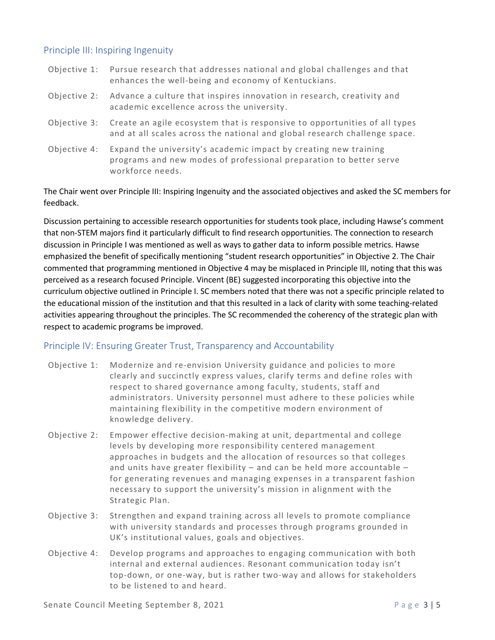#### Principle III: Inspiring Ingenuity

|              | Objective 1: Pursue research that addresses national and global challenges and that<br>enhances the well-being and economy of Kentuckians.                 |
|--------------|------------------------------------------------------------------------------------------------------------------------------------------------------------|
| Objective 2: | Advance a culture that inspires innovation in research, creativity and<br>academic excellence across the university.                                       |
| Objective 3: | Create an agile ecosystem that is responsive to opportunities of all types<br>and at all scales across the national and global research challenge space.   |
| Objective 4: | Expand the university's academic impact by creating new training<br>programs and new modes of professional preparation to better serve<br>workforce needs. |

The Chair went over Principle III: Inspiring Ingenuity and the associated objectives and asked the SC members for feedback.

Discussion pertaining to accessible research opportunities for students took place, including Hawse's comment that non-STEM majors find it particularly difficult to find research opportunities. The connection to research discussion in Principle I was mentioned as well as ways to gather data to inform possible metrics. Hawse emphasized the benefit of specifically mentioning "student research opportunities" in Objective 2. The Chair commented that programming mentioned in Objective 4 may be misplaced in Principle III, noting that this was perceived as a research focused Principle. Vincent (BE) suggested incorporating this objective into the curriculum objective outlined in Principle I. SC members noted that there was not a specific principle related to the educational mission of the institution and that this resulted in a lack of clarity with some teaching-related activities appearing throughout the principles. The SC recommended the coherency of the strategic plan with respect to academic programs be improved.

#### Principle IV: Ensuring Greater Trust, Transparency and Accountability

- Objective 1: Modernize and re-envision University guidance and policies to more clearly and succinctly express values, clarify terms and define roles with respect to shared governance among faculty, students, staff and administrators. University personnel must adhere to these policies while maintaining flexibility in the competitive modern environment of knowledge delivery.
- Objective 2: Empower effective decision-making at unit, departmental and college levels by developing more responsibility centered management approaches in budgets and the allocation of resources so that colleges and units have greater flexibility – and can be held more accountable – for generating revenues and managing expenses in a transparent fashion necessary to support the university's mission in alignment with the Strategic Plan.
- Objective 3: Strengthen and expand training across all levels to promote compliance with university standards and processes through programs grounded in UK's institutional values, goals and objectives.
- Objective 4: Develop programs and approaches to engaging communication with both internal and external audiences. Resonant communication today isn't top-down, or one-way, but is rather two-way and allows for stakeholders to be listened to and heard.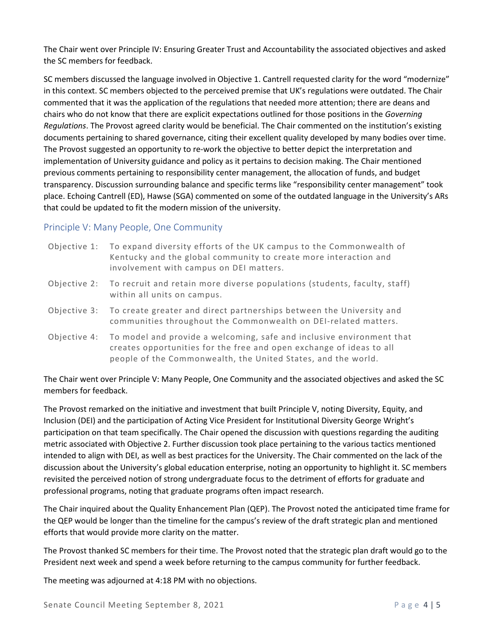The Chair went over Principle IV: Ensuring Greater Trust and Accountability the associated objectives and asked the SC members for feedback.

SC members discussed the language involved in Objective 1. Cantrell requested clarity for the word "modernize" in this context. SC members objected to the perceived premise that UK's regulations were outdated. The Chair commented that it was the application of the regulations that needed more attention; there are deans and chairs who do not know that there are explicit expectations outlined for those positions in the *Governing Regulations*. The Provost agreed clarity would be beneficial. The Chair commented on the institution's existing documents pertaining to shared governance, citing their excellent quality developed by many bodies over time. The Provost suggested an opportunity to re-work the objective to better depict the interpretation and implementation of University guidance and policy as it pertains to decision making. The Chair mentioned previous comments pertaining to responsibility center management, the allocation of funds, and budget transparency. Discussion surrounding balance and specific terms like "responsibility center management" took place. Echoing Cantrell (ED), Hawse (SGA) commented on some of the outdated language in the University's ARs that could be updated to fit the modern mission of the university.

#### Principle V: Many People, One Community

| Objective 1: To expand diversity efforts of the UK campus to the Commonwealth of |
|----------------------------------------------------------------------------------|
| Kentucky and the global community to create more interaction and                 |
| involvement with campus on DEI matters.                                          |

- Objective 2: To recruit and retain more diverse populations (students, faculty, staff) within all units on campus.
- Objective 3: To create greater and direct partnerships between the University and communities throughout the Commonwealth on DEI-related matters.
- Objective 4: To model and provide a welcoming, safe and inclusive environment that creates opportunities for the free and open exchange of ideas to all people of the Commonwealth, the United States, and the world.

#### The Chair went over Principle V: Many People, One Community and the associated objectives and asked the SC members for feedback.

The Provost remarked on the initiative and investment that built Principle V, noting Diversity, Equity, and Inclusion (DEI) and the participation of Acting Vice President for Institutional Diversity George Wright's participation on that team specifically. The Chair opened the discussion with questions regarding the auditing metric associated with Objective 2. Further discussion took place pertaining to the various tactics mentioned intended to align with DEI, as well as best practices for the University. The Chair commented on the lack of the discussion about the University's global education enterprise, noting an opportunity to highlight it. SC members revisited the perceived notion of strong undergraduate focus to the detriment of efforts for graduate and professional programs, noting that graduate programs often impact research.

The Chair inquired about the Quality Enhancement Plan (QEP). The Provost noted the anticipated time frame for the QEP would be longer than the timeline for the campus's review of the draft strategic plan and mentioned efforts that would provide more clarity on the matter.

The Provost thanked SC members for their time. The Provost noted that the strategic plan draft would go to the President next week and spend a week before returning to the campus community for further feedback.

The meeting was adjourned at 4:18 PM with no objections.